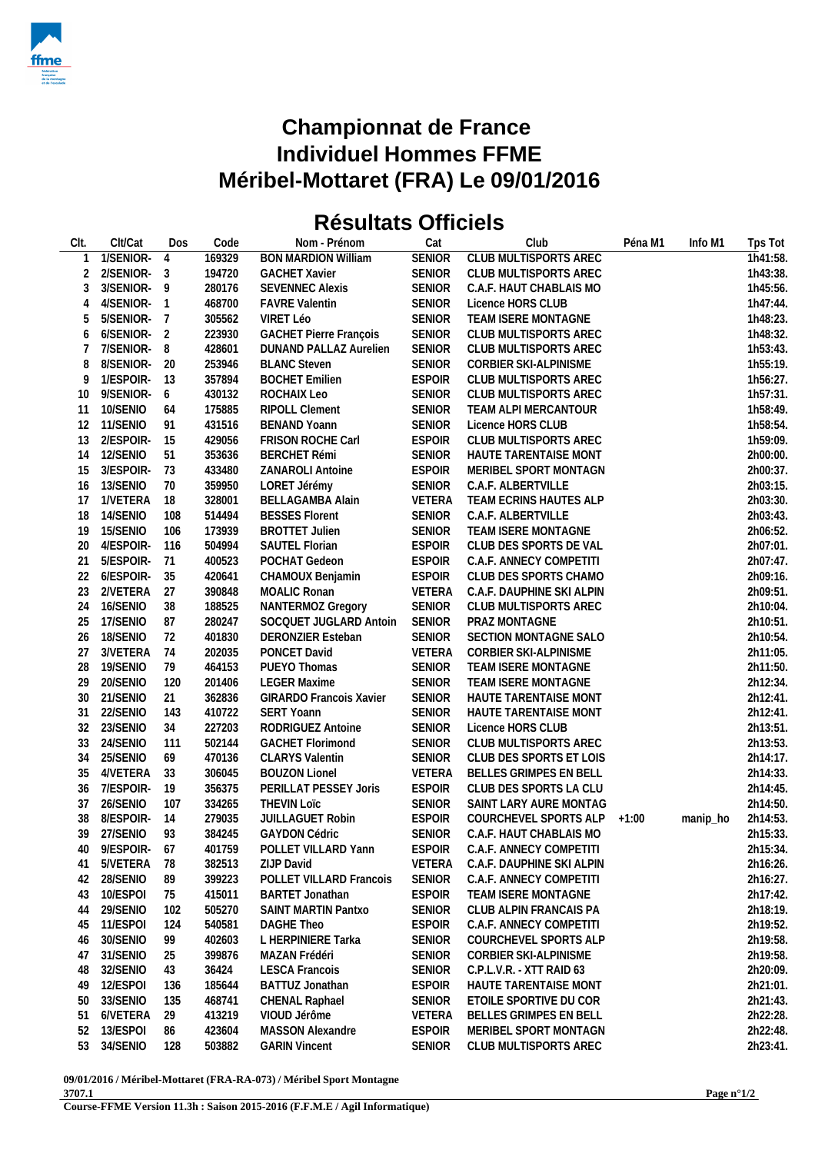

## **Championnat de France Individuel Hommes FFME Méribel-Mottaret (FRA) Le 09/01/2016**

## **Résultats Officiels**

| CIt.           | Clt/Cat     | Dos            | Code   | Nom - Prénom                   | Cat           | Club                         | Péna M1 | Info M1  | Tps Tot  |
|----------------|-------------|----------------|--------|--------------------------------|---------------|------------------------------|---------|----------|----------|
|                | 1/SENIOR-   | $\overline{4}$ | 169329 | <b>BON MARDION William</b>     | <b>SENIOR</b> | <b>CLUB MULTISPORTS AREC</b> |         |          | Th41:58. |
| 2              | 2/SENIOR-3  |                | 194720 | <b>GACHET Xavier</b>           | <b>SENIOR</b> | CLUB MULTISPORTS AREC        |         |          | 1h43:38. |
| 3              | 3/SENIOR-9  |                | 280176 | <b>SEVENNEC Alexis</b>         | <b>SENIOR</b> | C.A.F. HAUT CHABLAIS MO      |         |          | 1h45:56. |
| $\overline{4}$ | 4/SENIOR-   | $\overline{1}$ | 468700 | <b>FAVRE Valentin</b>          | <b>SENIOR</b> | Licence HORS CLUB            |         |          | 1h47:44. |
| 5              | 5/SENIOR-7  |                | 305562 | VIRET Léo                      | <b>SENIOR</b> | TEAM ISERE MONTAGNE          |         |          | 1h48:23. |
| 6              | 6/SENIOR-   | $\overline{2}$ | 223930 | <b>GACHET Pierre François</b>  | <b>SENIOR</b> | <b>CLUB MULTISPORTS AREC</b> |         |          | 1h48:32. |
| 7              | 7/SENIOR-   | 8              | 428601 | DUNAND PALLAZ Aurelien         | <b>SENIOR</b> | CLUB MULTISPORTS AREC        |         |          | 1h53:43. |
| 8              | 8/SENIOR-20 |                | 253946 | <b>BLANC Steven</b>            | <b>SENIOR</b> | CORBIER SKI-ALPINISME        |         |          | 1h55:19. |
| 9              | 1/ESPOIR-   | - 13           | 357894 | <b>BOCHET Emilien</b>          | <b>ESPOIR</b> | CLUB MULTISPORTS AREC        |         |          | 1h56:27. |
|                |             |                |        |                                |               |                              |         |          |          |
| 10             | 9/SENIOR-   | 6              | 430132 | ROCHAIX Leo                    | <b>SENIOR</b> | CLUB MULTISPORTS AREC        |         |          | 1h57:31. |
| 11             | 10/SENIO    | 64             | 175885 | RIPOLL Clement                 | <b>SENIOR</b> | TEAM ALPI MERCANTOUR         |         |          | 1h58:49. |
| 12             | 11/SENIO    | 91             | 431516 | <b>BENAND Yoann</b>            | <b>SENIOR</b> | Licence HORS CLUB            |         |          | 1h58:54. |
| 13             | 2/ESPOIR-   | 15             | 429056 | FRISON ROCHE Carl              | <b>ESPOIR</b> | CLUB MULTISPORTS AREC        |         |          | 1h59:09. |
| 14             | 12/SENIO    | 51             | 353636 | <b>BERCHET Rémi</b>            | <b>SENIOR</b> | HAUTE TARENTAISE MONT        |         |          | 2h00:00. |
| 15             | 3/ESPOIR-   | 73             | 433480 | ZANAROLI Antoine               | <b>ESPOIR</b> | MERIBEL SPORT MONTAGN        |         |          | 2h00:37. |
| 16             | 13/SENIO    | 70             | 359950 | LORET Jérémy                   | <b>SENIOR</b> | C.A.F. ALBERTVILLE           |         |          | 2h03:15. |
| 17             | 1/VETERA    | 18             | 328001 | BELLAGAMBA Alain               | VETERA        | TEAM ECRINS HAUTES ALP       |         |          | 2h03:30. |
| 18             | 14/SENIO    | 108            | 514494 | <b>BESSES Florent</b>          | <b>SENIOR</b> | C.A.F. ALBERTVILLE           |         |          | 2h03:43. |
| 19             | 15/SENIO    | 106            | 173939 | <b>BROTTET Julien</b>          | <b>SENIOR</b> | TEAM ISERE MONTAGNE          |         |          | 2h06:52. |
| 20             | 4/ESPOIR-   | 116            | 504994 | SAUTEL Florian                 | <b>ESPOIR</b> | CLUB DES SPORTS DE VAL       |         |          | 2h07:01. |
| 21             | 5/ESPOIR-   | 71             | 400523 | POCHAT Gedeon                  | <b>ESPOIR</b> | C.A.F. ANNECY COMPETITI      |         |          | 2h07:47. |
| 22             | 6/ESPOIR-   | 35             | 420641 | CHAMOUX Benjamin               | <b>ESPOIR</b> | CLUB DES SPORTS CHAMO        |         |          | 2h09:16. |
| 23             | 2/VETERA    | 27             | 390848 | MOALIC Ronan                   | VETERA        | C.A.F. DAUPHINE SKI ALPIN    |         |          | 2h09:51. |
| 24             | 16/SENIO    | 38             | 188525 | NANTERMOZ Gregory              | <b>SENIOR</b> | CLUB MULTISPORTS AREC        |         |          | 2h10:04. |
| 25             | 17/SENIO    | 87             | 280247 | SOCQUET JUGLARD Antoin         | <b>SENIOR</b> | PRAZ MONTAGNE                |         |          | 2h10:51. |
| 26             | 18/SENIO    | 72             | 401830 | DERONZIER Esteban              | <b>SENIOR</b> | SECTION MONTAGNE SALO        |         |          | 2h10:54. |
| 27             | 3/VETERA    | 74             | 202035 | PONCET David                   | VETERA        | CORBIER SKI-ALPINISME        |         |          | 2h11:05. |
| 28             | 19/SENIO    | 79             | 464153 | PUEYO Thomas                   | <b>SENIOR</b> | TEAM ISERE MONTAGNE          |         |          | 2h11:50. |
| 29             | 20/SENIO    | 120            | 201406 | <b>LEGER Maxime</b>            | <b>SENIOR</b> | TEAM ISERE MONTAGNE          |         |          | 2h12:34. |
| 30             | 21/SENIO    | 21             | 362836 | <b>GIRARDO Francois Xavier</b> | <b>SENIOR</b> | HAUTE TARENTAISE MONT        |         |          | 2h12:41. |
| 31             | 22/SENIO    | 143            | 410722 | SERT Yoann                     | <b>SENIOR</b> | HAUTE TARENTAISE MONT        |         |          | 2h12:41. |
| 32             | 23/SENIO    | 34             | 227203 | RODRIGUEZ Antoine              | <b>SENIOR</b> | Licence HORS CLUB            |         |          | 2h13:51. |
|                | 24/SENIO    | 111            | 502144 | <b>GACHET Florimond</b>        | <b>SENIOR</b> | CLUB MULTISPORTS AREC        |         |          | 2h13:53. |
| 33             |             |                |        |                                |               |                              |         |          |          |
| 34             | 25/SENIO    | 69             | 470136 | <b>CLARYS Valentin</b>         | <b>SENIOR</b> | CLUB DES SPORTS ET LOIS      |         |          | 2h14:17. |
| 35             | 4/VETERA    | 33             | 306045 | <b>BOUZON Lionel</b>           | VETERA        | BELLES GRIMPES EN BELL       |         |          | 2h14:33. |
| 36             | 7/ESPOIR-   | 19             | 356375 | PERILLAT PESSEY Joris          | <b>ESPOIR</b> | CLUB DES SPORTS LA CLU       |         |          | 2h14:45. |
| 37             | 26/SENIO    | 107            | 334265 | <b>THEVIN LOTC</b>             | <b>SENIOR</b> | SAINT LARY AURE MONTAG       |         |          | 2h14:50. |
| 38             | 8/ESPOIR-   | 14             | 279035 | <b>JUILLAGUET Robin</b>        | <b>ESPOIR</b> | COURCHEVEL SPORTS ALP        | $+1:00$ | manip_ho | 2h14:53. |
| 39             | 27/SENIO    | 93             | 384245 | <b>GAYDON Cédric</b>           | <b>SENIOR</b> | C.A.F. HAUT CHABLAIS MO      |         |          | 2h15:33. |
| 40             | 9/ESPOIR-   | -67            | 401759 | POLLET VILLARD Yann            | ESPOIR        | C.A.F. ANNECY COMPETITI      |         |          | 2h15:34. |
| 41             | 5/VETERA 78 |                | 382513 | ZIJP David                     | VETERA        | C.A.F. DAUPHINE SKI ALPIN    |         |          | 2h16:26. |
| 42             | 28/SENIO    | 89             | 399223 | POLLET VILLARD Francois        | <b>SENIOR</b> | C.A.F. ANNECY COMPETITI      |         |          | 2h16:27. |
| 43             | 10/ESPOI    | 75             | 415011 | <b>BARTET Jonathan</b>         | <b>ESPOIR</b> | TEAM ISERE MONTAGNE          |         |          | 2h17:42. |
| 44             | 29/SENIO    | 102            | 505270 | SAINT MARTIN Pantxo            | <b>SENIOR</b> | CLUB ALPIN FRANCAIS PA       |         |          | 2h18:19. |
| 45             | 11/ESPOI    | 124            | 540581 | DAGHE Theo                     | <b>ESPOIR</b> | C.A.F. ANNECY COMPETITI      |         |          | 2h19:52. |
| 46             | 30/SENIO    | 99             | 402603 | L HERPINIERE Tarka             | <b>SENIOR</b> | COURCHEVEL SPORTS ALP        |         |          | 2h19:58. |
| 47             | 31/SENIO    | 25             | 399876 | MAZAN Frédéri                  | <b>SENIOR</b> | CORBIER SKI-ALPINISME        |         |          | 2h19:58. |
| 48             | 32/SENIO    | 43             | 36424  | <b>LESCA Francois</b>          | <b>SENIOR</b> | C.P.L.V.R. - XTT RAID 63     |         |          | 2h20:09. |
| 49             | 12/ESPOI    | 136            | 185644 | BATTUZ Jonathan                | <b>ESPOIR</b> | HAUTE TARENTAISE MONT        |         |          | 2h21:01. |
| 50             | 33/SENIO    | 135            | 468741 | CHENAL Raphael                 | <b>SENIOR</b> | ETOILE SPORTIVE DU COR       |         |          | 2h21:43. |
| 51             | 6/VETERA    | 29             | 413219 | VIOUD Jérôme                   | VETERA        | BELLES GRIMPES EN BELL       |         |          | 2h22:28. |
| 52             | 13/ESPOI    | 86             | 423604 | MASSON Alexandre               | <b>ESPOIR</b> | MERIBEL SPORT MONTAGN        |         |          | 2h22:48. |
|                | 53 34/SENIO | 128            | 503882 | <b>GARIN Vincent</b>           | <b>SENIOR</b> | CLUB MULTISPORTS AREC        |         |          | 2h23:41. |
|                |             |                |        |                                |               |                              |         |          |          |

**09/01/2016 / Méribel-Mottaret (FRA-RA-073) / Méribel Sport Montagne 3707.1**